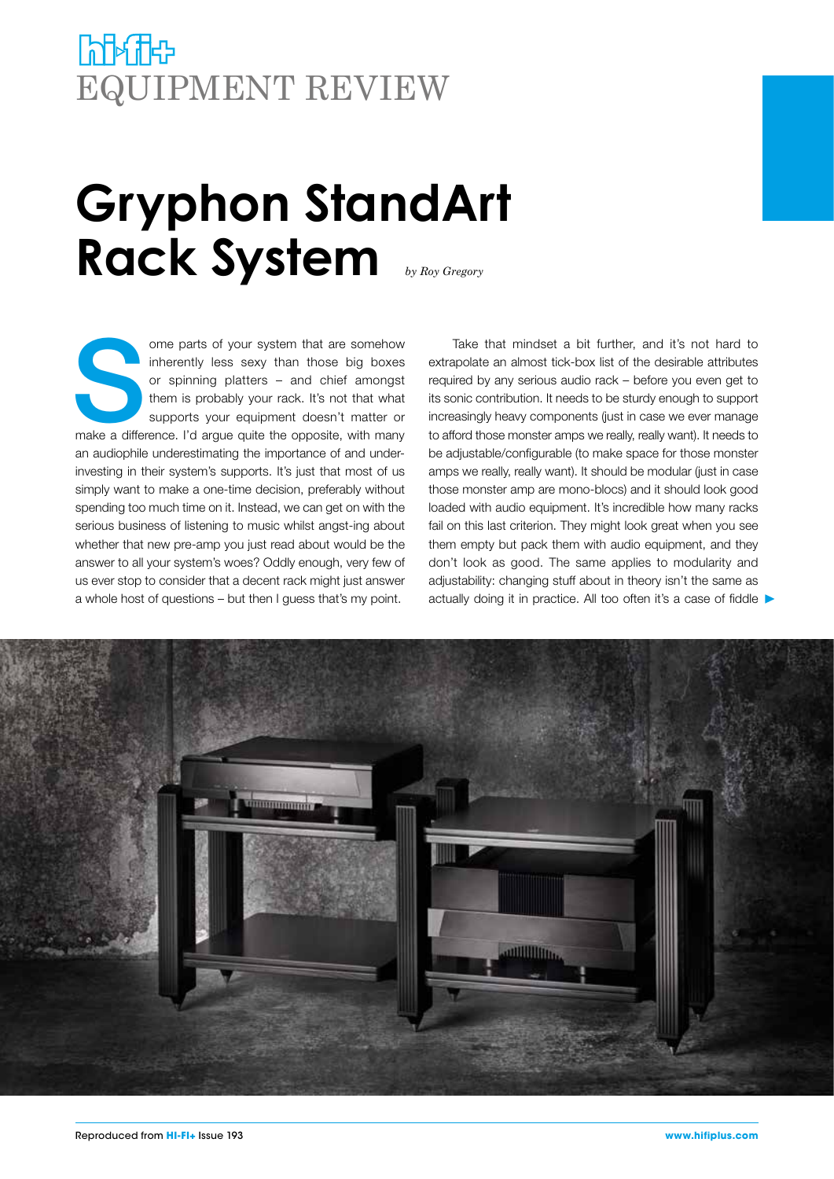## **himic** EQUIPMENT REVIEW

## **Gryphon StandArt Rack System** *by Roy Gregory*

ome parts of your system that are somehow<br>
inherently less sexy than those big boxes<br>
or spinning platters – and chief amongst<br>
them is probably your rack. It's not that what<br>
supports your equipment doesn't matter or<br>
mak inherently less sexy than those big boxes or spinning platters – and chief amongst them is probably your rack. It's not that what supports your equipment doesn't matter or an audiophile underestimating the importance of and underinvesting in their system's supports. It's just that most of us simply want to make a one-time decision, preferably without spending too much time on it. Instead, we can get on with the serious business of listening to music whilst angst-ing about whether that new pre-amp you just read about would be the answer to all your system's woes? Oddly enough, very few of us ever stop to consider that a decent rack might just answer a whole host of questions – but then I guess that's my point.

Take that mindset a bit further, and it's not hard to extrapolate an almost tick-box list of the desirable attributes required by any serious audio rack – before you even get to its sonic contribution. It needs to be sturdy enough to support increasingly heavy components (just in case we ever manage to afford those monster amps we really, really want). It needs to be adjustable/configurable (to make space for those monster amps we really, really want). It should be modular (just in case those monster amp are mono-blocs) and it should look good loaded with audio equipment. It's incredible how many racks fail on this last criterion. They might look great when you see them empty but pack them with audio equipment, and they don't look as good. The same applies to modularity and adjustability: changing stuff about in theory isn't the same as actually doing it in practice. All too often it's a case of fiddle

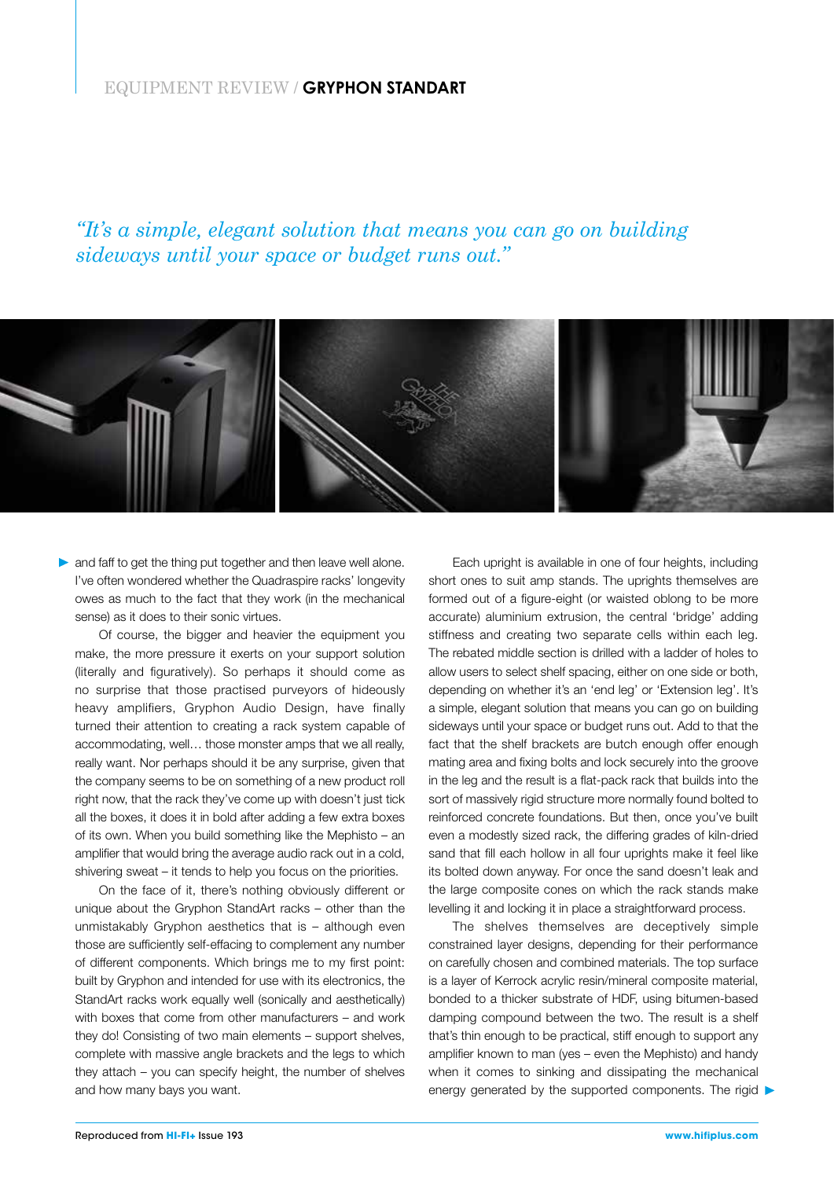## EQUIPMENT REVIEW / **GRYPHON STANDART**

*"It's a simple, elegant solution that means you can go on building sideways until your space or budget runs out."*



and faff to get the thing put together and then leave well alone. I've often wondered whether the Quadraspire racks' longevity owes as much to the fact that they work (in the mechanical sense) as it does to their sonic virtues.

Of course, the bigger and heavier the equipment you make, the more pressure it exerts on your support solution (literally and figuratively). So perhaps it should come as no surprise that those practised purveyors of hideously heavy amplifiers, Gryphon Audio Design, have finally turned their attention to creating a rack system capable of accommodating, well… those monster amps that we all really, really want. Nor perhaps should it be any surprise, given that the company seems to be on something of a new product roll right now, that the rack they've come up with doesn't just tick all the boxes, it does it in bold after adding a few extra boxes of its own. When you build something like the Mephisto – an amplifier that would bring the average audio rack out in a cold, shivering sweat – it tends to help you focus on the priorities.

On the face of it, there's nothing obviously different or unique about the Gryphon StandArt racks – other than the unmistakably Gryphon aesthetics that is – although even those are sufficiently self-effacing to complement any number of different components. Which brings me to my first point: built by Gryphon and intended for use with its electronics, the StandArt racks work equally well (sonically and aesthetically) with boxes that come from other manufacturers – and work they do! Consisting of two main elements – support shelves, complete with massive angle brackets and the legs to which they attach – you can specify height, the number of shelves and how many bays you want.

Each upright is available in one of four heights, including short ones to suit amp stands. The uprights themselves are formed out of a figure-eight (or waisted oblong to be more accurate) aluminium extrusion, the central 'bridge' adding stiffness and creating two separate cells within each leg. The rebated middle section is drilled with a ladder of holes to allow users to select shelf spacing, either on one side or both, depending on whether it's an 'end leg' or 'Extension leg'. It's a simple, elegant solution that means you can go on building sideways until your space or budget runs out. Add to that the fact that the shelf brackets are butch enough offer enough mating area and fixing bolts and lock securely into the groove in the leg and the result is a flat-pack rack that builds into the sort of massively rigid structure more normally found bolted to reinforced concrete foundations. But then, once you've built even a modestly sized rack, the differing grades of kiln-dried sand that fill each hollow in all four uprights make it feel like its bolted down anyway. For once the sand doesn't leak and the large composite cones on which the rack stands make levelling it and locking it in place a straightforward process.

The shelves themselves are deceptively simple constrained layer designs, depending for their performance on carefully chosen and combined materials. The top surface is a layer of Kerrock acrylic resin/mineral composite material, bonded to a thicker substrate of HDF, using bitumen-based damping compound between the two. The result is a shelf that's thin enough to be practical, stiff enough to support any amplifier known to man (yes – even the Mephisto) and handy when it comes to sinking and dissipating the mechanical energy generated by the supported components. The rigid  $\blacktriangleright$